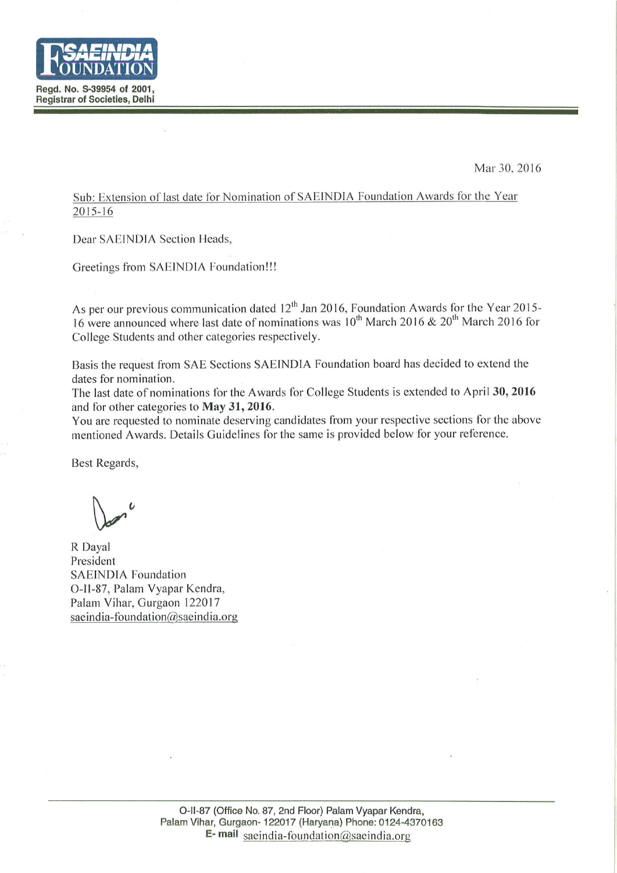

Mar 30, 2016

Sub: Extension of last date for Nomination of SAEINDIA Foundation Awards for the Year  $2015 - 16$ 

Dear SAEINDIA Section Heads,

Greetings from SAEINDIA Foundation!!!

As per our previous communication dated  $12^{th}$  Jan 2016, Foundation Awards for the Year 2015-16 were announced where last date of nominations was 10<sup>th</sup> March 2016 & 20<sup>th</sup> March 2016 for College Students and other categories respectively.

Basis the request from SAE Sections SAEINDIA Foundation board has decided to extend the dates for nomination.

The last date of nominations for the Awards for College Students is extended to April 30, 2016 and for other categories to May 31, 2016.

You are requested to nominate deserving candidates from your respective sections for the above mentioned Awards. Details Guidelines for the same is provided below for your reference.

Best Regards,

R Dayal President **SAEINDIA Foundation** O-II-87, Palam Vyapar Kendra, Palam Vihar, Gurgaon 122017 saeindia-foundation@saeindia.org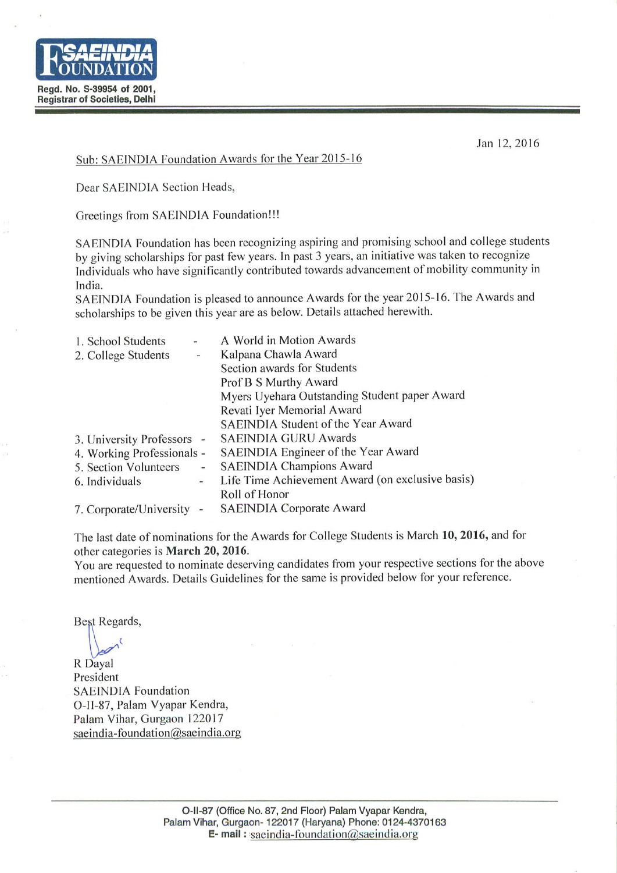

Jan 12, 2016

#### Sub: SAEINDIA Foundation Awards for the Year 2015-16

Dear SAEINDIA Section Heads,

Greetings from SAEINDIA Foundation!!!

SAEINDIA Foundation has been recognizing aspiring and promising school and college students by giving scholarships for past few years. In past 3 years, an initiative was taken to recognize Individuals who have significantly contributed towards advancement of mobility community in India.

SAEINDIA Foundation is pleased to announce Awards for the year 2015-16. The Awards and scholarships to be given this year are as below. Details attached herewith.

| $\frac{1}{2}$              | A World in Motion Awards                         |
|----------------------------|--------------------------------------------------|
| $\overline{\phantom{a}}$   | Kalpana Chawla Award                             |
|                            | Section awards for Students                      |
|                            | Prof B S Murthy Award                            |
|                            | Myers Uyehara Outstanding Student paper Award    |
|                            | Revati Iyer Memorial Award                       |
|                            | SAEINDIA Student of the Year Award               |
| 3. University Professors - | <b>SAEINDIA GURU Awards</b>                      |
| 4. Working Professionals - | SAEINDIA Engineer of the Year Award              |
| $\sim$                     | <b>SAEINDIA Champions Award</b>                  |
| $\overline{\phantom{a}}$   | Life Time Achievement Award (on exclusive basis) |
|                            | Roll of Honor                                    |
| $\overline{\phantom{a}}$   | <b>SAEINDIA Corporate Award</b>                  |
|                            |                                                  |

The last date of nominations for the Awards for College Students is March 10, 2016, and for other categories is March 20, 2016.

You are requested to nominate deserving candidates from your respective sections for the above mentioned Awards. Details Guidelines for the same is provided below for your reference.

Best Regards,

R Dayal President **SAEINDIA Foundation** O-II-87, Palam Vyapar Kendra, Palam Vihar, Gurgaon 122017 saeindia-foundation@saeindia.org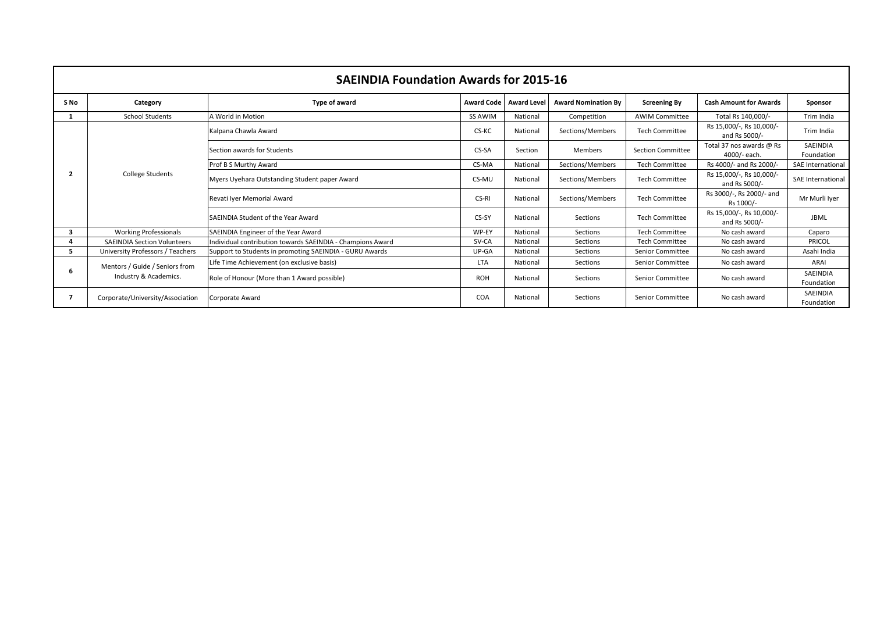|      |                                    | <b>SAEINDIA Foundation Awards for 2015-16</b>              |                   |                    |                            |                          |                                           |                          |
|------|------------------------------------|------------------------------------------------------------|-------------------|--------------------|----------------------------|--------------------------|-------------------------------------------|--------------------------|
| S No | Category                           | Type of award                                              | <b>Award Code</b> | <b>Award Level</b> | <b>Award Nomination By</b> | <b>Screening By</b>      | <b>Cash Amount for Awards</b>             | Sponsor                  |
|      | <b>School Students</b>             | A World in Motion                                          | <b>SS AWIM</b>    | National           | Competition                | <b>AWIM Committee</b>    | Total Rs 140,000/-                        | Trim India               |
|      |                                    | Kalpana Chawla Award                                       | CS-KC             | National           | Sections/Members           | <b>Tech Committee</b>    | Rs 15,000/-, Rs 10,000/-<br>and Rs 5000/- | Trim India               |
|      |                                    | Section awards for Students                                | CS-SA             | Section            | Members                    | <b>Section Committee</b> | Total 37 nos awards @ Rs<br>4000/- each.  | SAEINDIA<br>Foundation   |
|      |                                    | Prof B S Murthy Award                                      | CS-MA             | National           | Sections/Members           | <b>Tech Committee</b>    | Rs 4000/- and Rs 2000/-                   | SAE International        |
| 2    | <b>College Students</b>            | Myers Uyehara Outstanding Student paper Award              | CS-MU             | National           | Sections/Members           | <b>Tech Committee</b>    | Rs 15,000/-, Rs 10,000/-<br>and Rs 5000/- | <b>SAE International</b> |
|      |                                    | Revati Iver Memorial Award                                 | CS-RI             | National           | Sections/Members           | <b>Tech Committee</b>    | Rs 3000/-, Rs 2000/- and<br>Rs 1000/-     | Mr Murli Iver            |
|      |                                    | <b>SAEINDIA Student of the Year Award</b>                  | CS-SY             | National           | Sections                   | <b>Tech Committee</b>    | Rs 15,000/-, Rs 10,000/-<br>and Rs 5000/- | <b>JBML</b>              |
| з    | <b>Working Professionals</b>       | SAEINDIA Engineer of the Year Award                        | WP-EY             | National           | Sections                   | <b>Tech Committee</b>    | No cash award                             | Caparo                   |
| 4    | <b>SAEINDIA Section Volunteers</b> | Individual contribution towards SAEINDIA - Champions Award | SV-CA             | National           | Sections                   | <b>Tech Committee</b>    | No cash award                             | PRICOL                   |
| 5    | University Professors / Teachers   | Support to Students in promoting SAEINDIA - GURU Awards    | $UP-GA$           | National           | Sections                   | Senior Committee         | No cash award                             | Asahi India              |
| 6    | Mentors / Guide / Seniors from     | Life Time Achievement (on exclusive basis)                 | <b>LTA</b>        | National           | Sections                   | Senior Committee         | No cash award                             | ARAI                     |
|      | Industry & Academics.              | Role of Honour (More than 1 Award possible)                | <b>ROH</b>        | National           | Sections                   | Senior Committee         | No cash award                             | SAEINDIA<br>Foundation   |
| 7    | Corporate/University/Association   | <b>Corporate Award</b>                                     | COA               | National           | Sections                   | Senior Committee         | No cash award                             | SAEINDIA<br>Foundation   |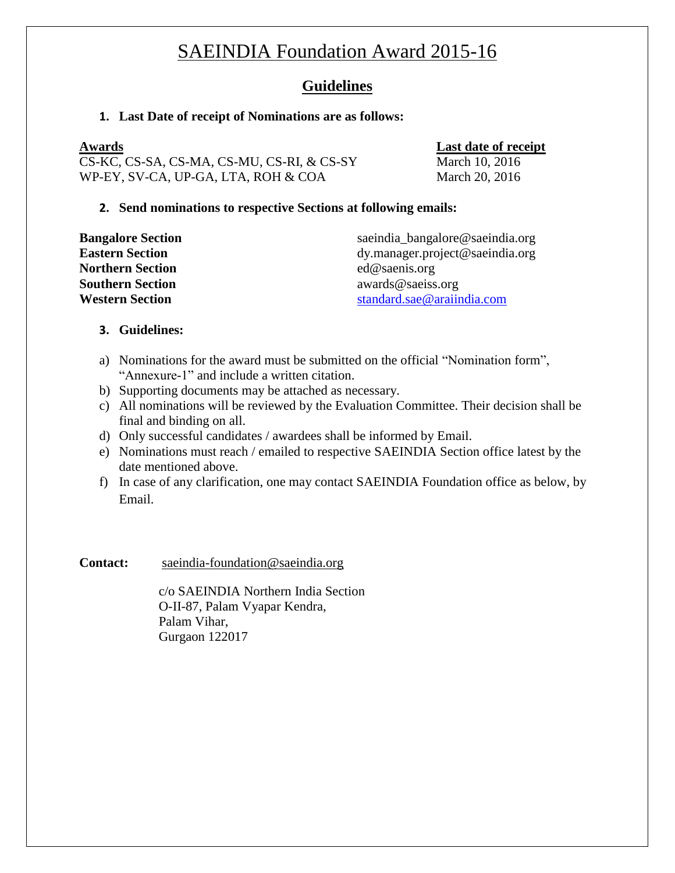#### **Guidelines**

#### **1. Last Date of receipt of Nominations are as follows:**

**Awards Last date of receipt** CS-KC, CS-SA, CS-MA, CS-MU, CS-RI, & CS-SY March 10, 2016 WP-EY, SV-CA, UP-GA, LTA, ROH & COA March 20, 2016

#### **2. Send nominations to respective Sections at following emails:**

| <b>Bangalore Section</b> | saeindia_bangalore@saeindia.org |
|--------------------------|---------------------------------|
| <b>Eastern Section</b>   | dy.manager.project@saeindia.org |
| Northern Section         | ed@s aenis.org                  |
| <b>Southern Section</b>  | awards@saeiss.org               |
| <b>Western Section</b>   | standard.sae@araiindia.com      |
|                          |                                 |

#### **3. Guidelines:**

- a) Nominations for the award must be submitted on the official "Nomination form", "Annexure-1" and include a written citation.
- b) Supporting documents may be attached as necessary.
- c) All nominations will be reviewed by the Evaluation Committee. Their decision shall be final and binding on all.
- d) Only successful candidates / awardees shall be informed by Email.
- e) Nominations must reach / emailed to respective SAEINDIA Section office latest by the date mentioned above.
- f) In case of any clarification, one may contact SAEINDIA Foundation office as below, by Email.

**Contact:** [saeindia-foundation@saeindia.org](mailto:saeindia-foundation@saeindia.org)

c/o SAEINDIA Northern India Section O-II-87, Palam Vyapar Kendra, Palam Vihar, Gurgaon 122017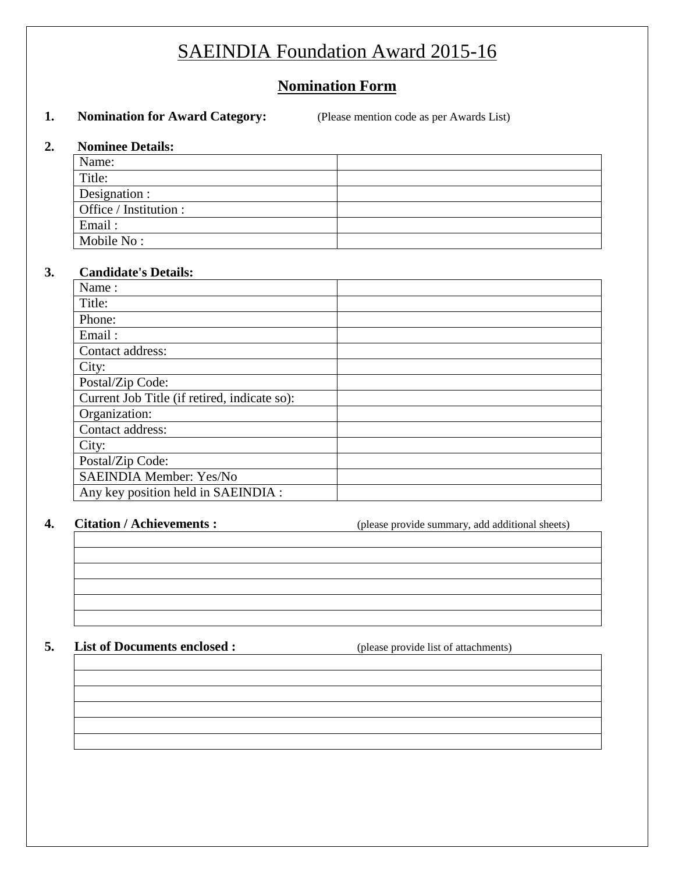#### **Nomination Form**

#### **1. Nomination for Award Category:** (Please mention code as per Awards List)

#### **2. Nominee Details:**

| Name:                  |  |
|------------------------|--|
| Title:                 |  |
| Designation :          |  |
| Office / Institution : |  |
| Email:                 |  |
| Mobile No:             |  |

#### **3. Candidate's Details:**

| Name:                                        |  |
|----------------------------------------------|--|
| Title:                                       |  |
| Phone:                                       |  |
| Email:                                       |  |
| Contact address:                             |  |
| City:                                        |  |
| Postal/Zip Code:                             |  |
| Current Job Title (if retired, indicate so): |  |
| Organization:                                |  |
| Contact address:                             |  |
| City:                                        |  |
| Postal/Zip Code:                             |  |
| SAEINDIA Member: Yes/No                      |  |
| Any key position held in SAEINDIA :          |  |

**4. Citation / Achievements :** (please provide summary, add additional sheets)

#### **5. List of Documents enclosed :** (please provide list of attachments)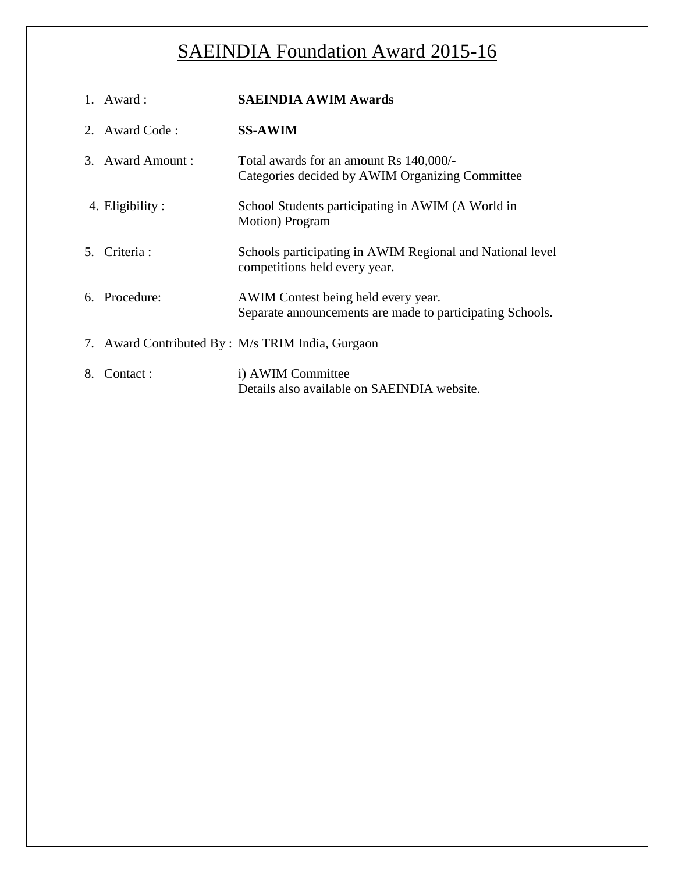|                | 1. Award:        | <b>SAEINDIA AWIM Awards</b>                                                                      |
|----------------|------------------|--------------------------------------------------------------------------------------------------|
|                | 2. Award Code:   | <b>SS-AWIM</b>                                                                                   |
|                | 3. Award Amount: | Total awards for an amount Rs 140,000/-<br>Categories decided by AWIM Organizing Committee       |
|                | 4. Eligibility : | School Students participating in AWIM (A World in<br>Motion) Program                             |
| 5 <sub>1</sub> | Criteria :       | Schools participating in AWIM Regional and National level<br>competitions held every year.       |
|                | 6. Procedure:    | AWIM Contest being held every year.<br>Separate announcements are made to participating Schools. |
|                |                  | 7. Award Contributed By : M/s TRIM India, Gurgaon                                                |
| 8.             | Contact:         | i) AWIM Committee<br>Details also available on SAEINDIA website.                                 |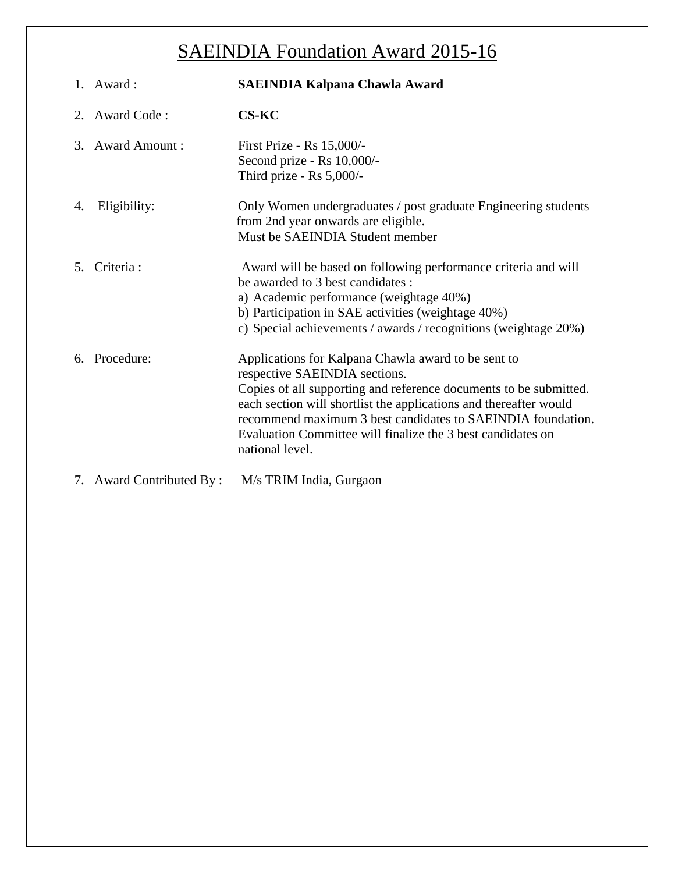|    | 1. Award:                | <b>SAEINDIA Kalpana Chawla Award</b>                                                                                                                                                                                                                                                                                                                                            |
|----|--------------------------|---------------------------------------------------------------------------------------------------------------------------------------------------------------------------------------------------------------------------------------------------------------------------------------------------------------------------------------------------------------------------------|
|    | 2. Award Code:           | <b>CS-KC</b>                                                                                                                                                                                                                                                                                                                                                                    |
| 3. | <b>Award Amount:</b>     | First Prize - Rs 15,000/-<br>Second prize - Rs 10,000/-<br>Third prize - Rs 5,000/-                                                                                                                                                                                                                                                                                             |
| 4. | Eligibility:             | Only Women undergraduates / post graduate Engineering students<br>from 2nd year onwards are eligible.<br>Must be SAEINDIA Student member                                                                                                                                                                                                                                        |
|    | 5. Criteria:             | Award will be based on following performance criteria and will<br>be awarded to 3 best candidates :<br>a) Academic performance (weightage 40%)<br>b) Participation in SAE activities (weightage 40%)<br>c) Special achievements / awards / recognitions (weightage 20%)                                                                                                         |
| б. | Procedure:               | Applications for Kalpana Chawla award to be sent to<br>respective SAEINDIA sections.<br>Copies of all supporting and reference documents to be submitted.<br>each section will shortlist the applications and thereafter would<br>recommend maximum 3 best candidates to SAEINDIA foundation.<br>Evaluation Committee will finalize the 3 best candidates on<br>national level. |
|    | 7. Award Contributed By: | M/s TRIM India, Gurgaon                                                                                                                                                                                                                                                                                                                                                         |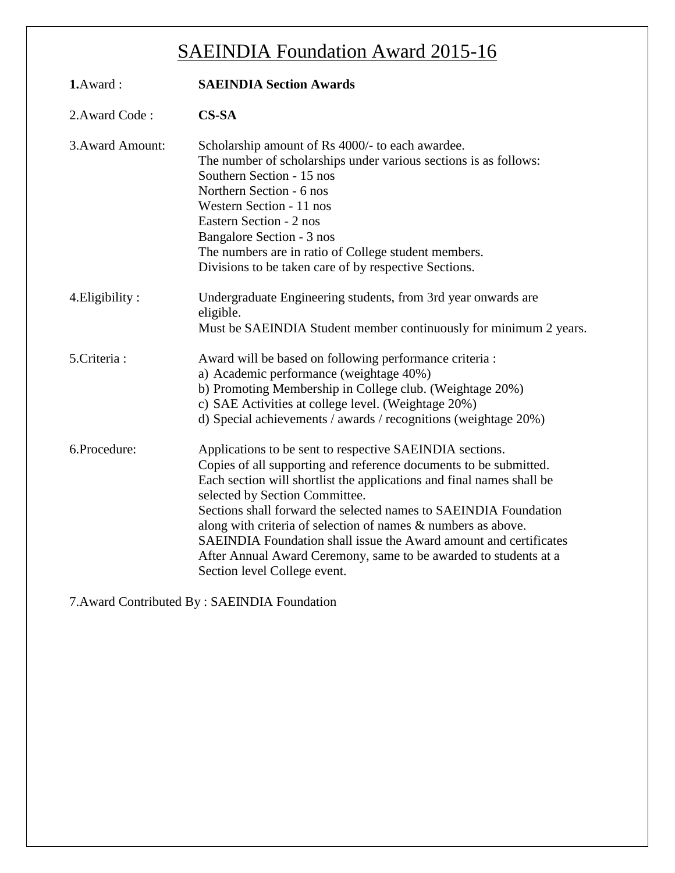| 1.Award:         | <b>SAEINDIA Section Awards</b>                                                                                                                                                                                                                                                                                                                                                                                                                                                                                                                         |
|------------------|--------------------------------------------------------------------------------------------------------------------------------------------------------------------------------------------------------------------------------------------------------------------------------------------------------------------------------------------------------------------------------------------------------------------------------------------------------------------------------------------------------------------------------------------------------|
| 2. Award Code:   | $CS-SA$                                                                                                                                                                                                                                                                                                                                                                                                                                                                                                                                                |
| 3. Award Amount: | Scholarship amount of Rs 4000/- to each awardee.<br>The number of scholarships under various sections is as follows:<br>Southern Section - 15 nos<br>Northern Section - 6 nos<br>Western Section - 11 nos<br>Eastern Section - 2 nos<br>Bangalore Section - 3 nos<br>The numbers are in ratio of College student members.<br>Divisions to be taken care of by respective Sections.                                                                                                                                                                     |
| 4. Eligibility:  | Undergraduate Engineering students, from 3rd year onwards are<br>eligible.<br>Must be SAEINDIA Student member continuously for minimum 2 years.                                                                                                                                                                                                                                                                                                                                                                                                        |
| 5.Criteria:      | Award will be based on following performance criteria :<br>a) Academic performance (weightage 40%)<br>b) Promoting Membership in College club. (Weightage 20%)<br>c) SAE Activities at college level. (Weightage 20%)<br>d) Special achievements / awards / recognitions (weightage 20%)                                                                                                                                                                                                                                                               |
| 6.Procedure:     | Applications to be sent to respective SAEINDIA sections.<br>Copies of all supporting and reference documents to be submitted.<br>Each section will shortlist the applications and final names shall be<br>selected by Section Committee.<br>Sections shall forward the selected names to SAEINDIA Foundation<br>along with criteria of selection of names & numbers as above.<br>SAEINDIA Foundation shall issue the Award amount and certificates<br>After Annual Award Ceremony, same to be awarded to students at a<br>Section level College event. |

7.Award Contributed By : SAEINDIA Foundation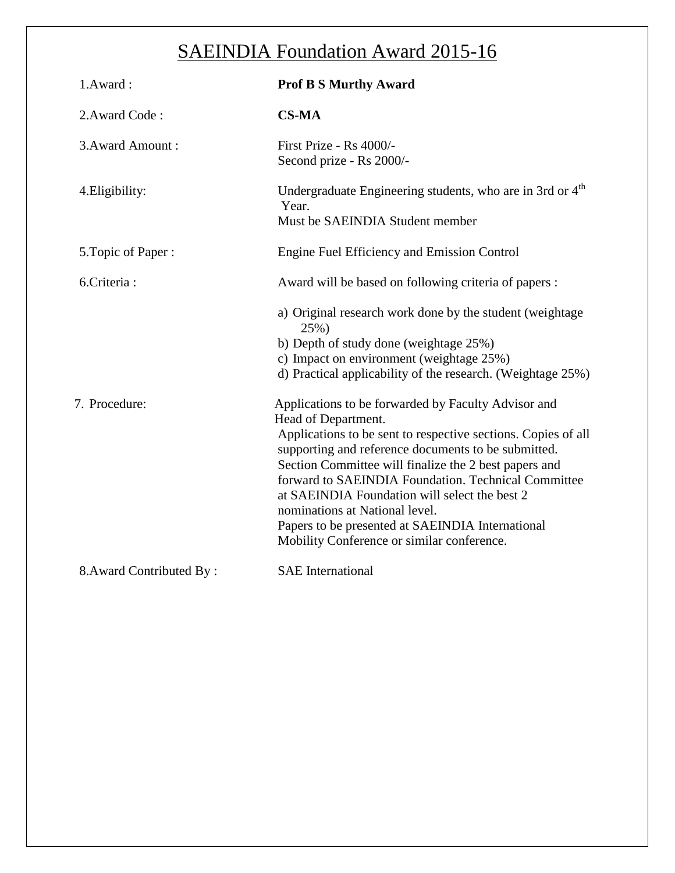| 1.Award:                 | <b>Prof B S Murthy Award</b>                                                                                                                                                                                                                                                                                                                                                                                                                                                                            |
|--------------------------|---------------------------------------------------------------------------------------------------------------------------------------------------------------------------------------------------------------------------------------------------------------------------------------------------------------------------------------------------------------------------------------------------------------------------------------------------------------------------------------------------------|
| 2. Award Code:           | <b>CS-MA</b>                                                                                                                                                                                                                                                                                                                                                                                                                                                                                            |
| 3. Award Amount:         | First Prize - Rs 4000/-<br>Second prize - Rs 2000/-                                                                                                                                                                                                                                                                                                                                                                                                                                                     |
| 4. Eligibility:          | Undergraduate Engineering students, who are in 3rd or 4 <sup>th</sup><br>Year.<br>Must be SAEINDIA Student member                                                                                                                                                                                                                                                                                                                                                                                       |
| 5. Topic of Paper:       | Engine Fuel Efficiency and Emission Control                                                                                                                                                                                                                                                                                                                                                                                                                                                             |
| 6.Criteria:              | Award will be based on following criteria of papers :                                                                                                                                                                                                                                                                                                                                                                                                                                                   |
|                          | a) Original research work done by the student (weightage<br>25%)<br>b) Depth of study done (weightage 25%)<br>c) Impact on environment (weightage 25%)<br>d) Practical applicability of the research. (Weightage 25%)                                                                                                                                                                                                                                                                                   |
| 7. Procedure:            | Applications to be forwarded by Faculty Advisor and<br>Head of Department.<br>Applications to be sent to respective sections. Copies of all<br>supporting and reference documents to be submitted.<br>Section Committee will finalize the 2 best papers and<br>forward to SAEINDIA Foundation. Technical Committee<br>at SAEINDIA Foundation will select the best 2<br>nominations at National level.<br>Papers to be presented at SAEINDIA International<br>Mobility Conference or similar conference. |
| 8. Award Contributed By: | <b>SAE</b> International                                                                                                                                                                                                                                                                                                                                                                                                                                                                                |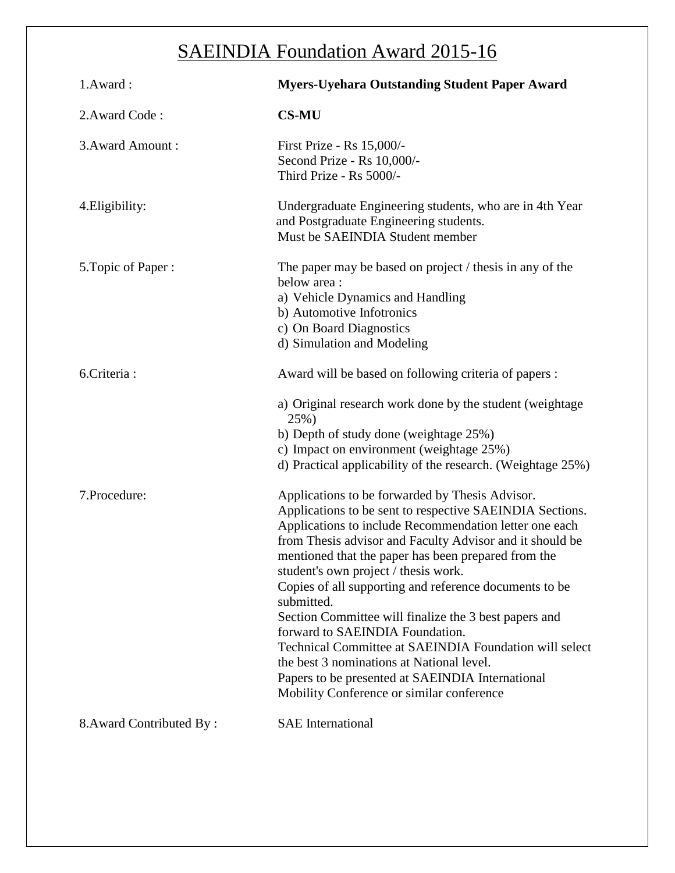| 1.Award:                 | <b>Myers-Uyehara Outstanding Student Paper Award</b>                                                                                                                                                                                                                                                                                                                                                                                                                                                                                                                                                                                                                                                         |
|--------------------------|--------------------------------------------------------------------------------------------------------------------------------------------------------------------------------------------------------------------------------------------------------------------------------------------------------------------------------------------------------------------------------------------------------------------------------------------------------------------------------------------------------------------------------------------------------------------------------------------------------------------------------------------------------------------------------------------------------------|
| 2. Award Code:           | <b>CS-MU</b>                                                                                                                                                                                                                                                                                                                                                                                                                                                                                                                                                                                                                                                                                                 |
| 3. Award Amount:         | First Prize - Rs 15,000/-<br>Second Prize - Rs 10,000/-<br>Third Prize - Rs 5000/-                                                                                                                                                                                                                                                                                                                                                                                                                                                                                                                                                                                                                           |
| 4. Eligibility:          | Undergraduate Engineering students, who are in 4th Year<br>and Postgraduate Engineering students.<br>Must be SAEINDIA Student member                                                                                                                                                                                                                                                                                                                                                                                                                                                                                                                                                                         |
| 5. Topic of Paper:       | The paper may be based on project / thesis in any of the<br>below area:<br>a) Vehicle Dynamics and Handling<br>b) Automotive Infotronics<br>c) On Board Diagnostics<br>d) Simulation and Modeling                                                                                                                                                                                                                                                                                                                                                                                                                                                                                                            |
| 6. Criteria:             | Award will be based on following criteria of papers :                                                                                                                                                                                                                                                                                                                                                                                                                                                                                                                                                                                                                                                        |
|                          | a) Original research work done by the student (weightage<br>25%)<br>b) Depth of study done (weightage 25%)<br>c) Impact on environment (weightage 25%)<br>d) Practical applicability of the research. (Weightage 25%)                                                                                                                                                                                                                                                                                                                                                                                                                                                                                        |
| 7.Procedure:             | Applications to be forwarded by Thesis Advisor.<br>Applications to be sent to respective SAEINDIA Sections.<br>Applications to include Recommendation letter one each<br>from Thesis advisor and Faculty Advisor and it should be<br>mentioned that the paper has been prepared from the<br>student's own project / thesis work.<br>Copies of all supporting and reference documents to be<br>submitted.<br>Section Committee will finalize the 3 best papers and<br>forward to SAEINDIA Foundation.<br>Technical Committee at SAEINDIA Foundation will select<br>the best 3 nominations at National level.<br>Papers to be presented at SAEINDIA International<br>Mobility Conference or similar conference |
| 8. Award Contributed By: | <b>SAE</b> International                                                                                                                                                                                                                                                                                                                                                                                                                                                                                                                                                                                                                                                                                     |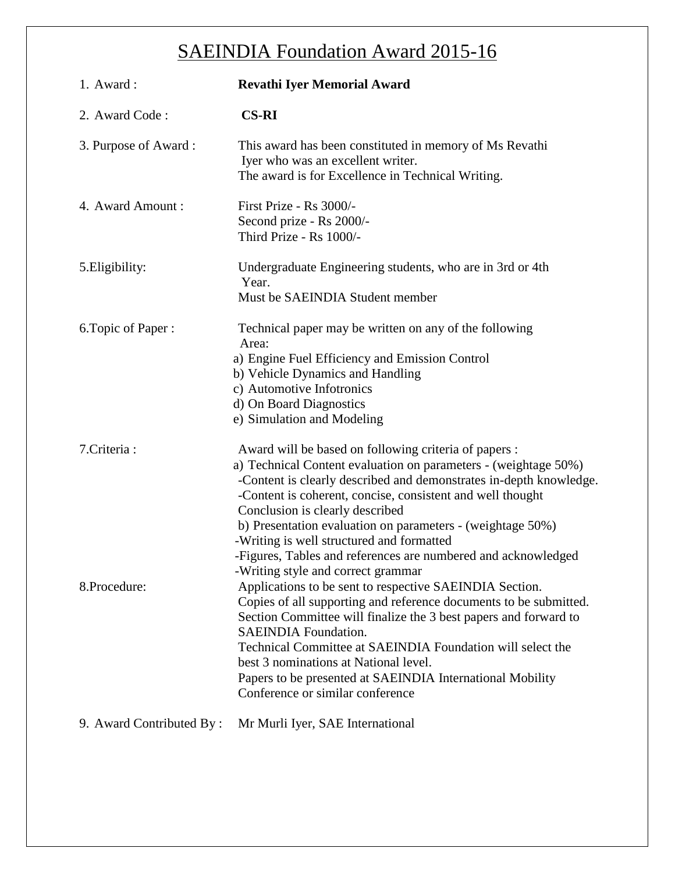| 1. Award:                | <b>Revathi Iyer Memorial Award</b>                                                                                                                                                                                                                                                                                                                                                                                                                                                                                |
|--------------------------|-------------------------------------------------------------------------------------------------------------------------------------------------------------------------------------------------------------------------------------------------------------------------------------------------------------------------------------------------------------------------------------------------------------------------------------------------------------------------------------------------------------------|
| 2. Award Code:           | <b>CS-RI</b>                                                                                                                                                                                                                                                                                                                                                                                                                                                                                                      |
| 3. Purpose of Award:     | This award has been constituted in memory of Ms Revathi<br>Iyer who was an excellent writer.<br>The award is for Excellence in Technical Writing.                                                                                                                                                                                                                                                                                                                                                                 |
| 4. Award Amount:         | First Prize - Rs 3000/-<br>Second prize - Rs 2000/-<br>Third Prize - Rs 1000/-                                                                                                                                                                                                                                                                                                                                                                                                                                    |
| 5. Eligibility:          | Undergraduate Engineering students, who are in 3rd or 4th<br>Year.<br>Must be SAEINDIA Student member                                                                                                                                                                                                                                                                                                                                                                                                             |
| 6. Topic of Paper:       | Technical paper may be written on any of the following<br>Area:<br>a) Engine Fuel Efficiency and Emission Control<br>b) Vehicle Dynamics and Handling<br>c) Automotive Infotronics<br>d) On Board Diagnostics<br>e) Simulation and Modeling                                                                                                                                                                                                                                                                       |
| 7. Criteria:             | Award will be based on following criteria of papers :<br>a) Technical Content evaluation on parameters - (weightage 50%)<br>-Content is clearly described and demonstrates in-depth knowledge.<br>-Content is coherent, concise, consistent and well thought<br>Conclusion is clearly described<br>b) Presentation evaluation on parameters - (weightage 50%)<br>-Writing is well structured and formatted<br>-Figures, Tables and references are numbered and acknowledged<br>-Writing style and correct grammar |
| 8.Procedure:             | Applications to be sent to respective SAEINDIA Section.<br>Copies of all supporting and reference documents to be submitted.<br>Section Committee will finalize the 3 best papers and forward to<br><b>SAEINDIA Foundation.</b><br>Technical Committee at SAEINDIA Foundation will select the<br>best 3 nominations at National level.<br>Papers to be presented at SAEINDIA International Mobility<br>Conference or similar conference                                                                           |
| 9. Award Contributed By: | Mr Murli Iyer, SAE International                                                                                                                                                                                                                                                                                                                                                                                                                                                                                  |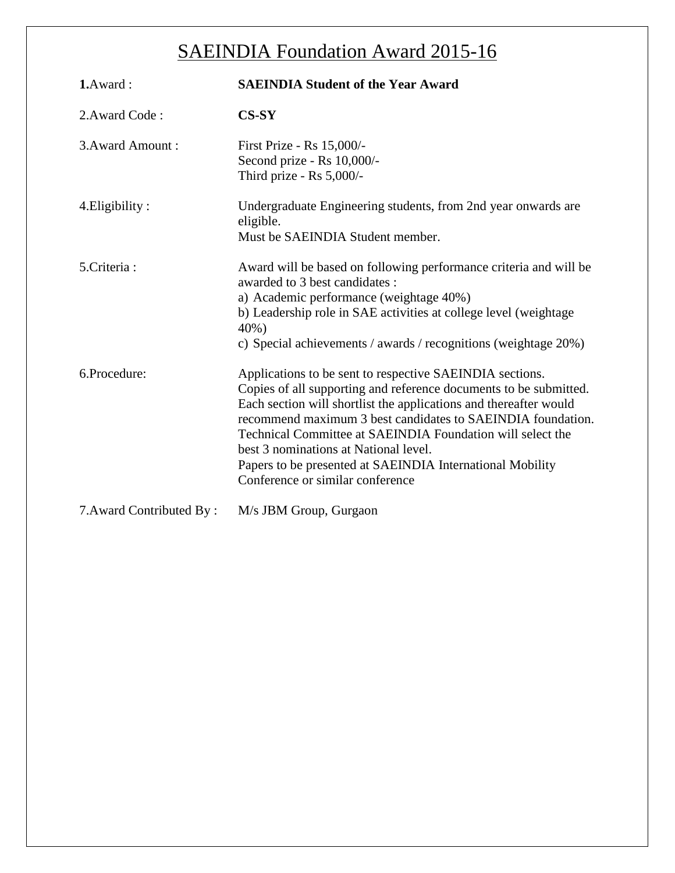| 1.Award:                 | <b>SAEINDIA Student of the Year Award</b>                                                                                                                                                                                                                                                                                                                                                                                                                                 |
|--------------------------|---------------------------------------------------------------------------------------------------------------------------------------------------------------------------------------------------------------------------------------------------------------------------------------------------------------------------------------------------------------------------------------------------------------------------------------------------------------------------|
| 2. Award Code:           | $CS-SY$                                                                                                                                                                                                                                                                                                                                                                                                                                                                   |
| 3. Award Amount:         | First Prize - Rs 15,000/-<br>Second prize - Rs 10,000/-<br>Third prize - Rs 5,000/-                                                                                                                                                                                                                                                                                                                                                                                       |
| 4. Eligibility:          | Undergraduate Engineering students, from 2nd year onwards are<br>eligible.<br>Must be SAEINDIA Student member.                                                                                                                                                                                                                                                                                                                                                            |
| 5. Criteria:             | Award will be based on following performance criteria and will be<br>awarded to 3 best candidates :<br>a) Academic performance (weightage 40%)<br>b) Leadership role in SAE activities at college level (weightage<br>40%)<br>c) Special achievements / awards / recognitions (weightage 20%)                                                                                                                                                                             |
| 6.Procedure:             | Applications to be sent to respective SAEINDIA sections.<br>Copies of all supporting and reference documents to be submitted.<br>Each section will shortlist the applications and thereafter would<br>recommend maximum 3 best candidates to SAEINDIA foundation.<br>Technical Committee at SAEINDIA Foundation will select the<br>best 3 nominations at National level.<br>Papers to be presented at SAEINDIA International Mobility<br>Conference or similar conference |
| 7. Award Contributed By: | M/s JBM Group, Gurgaon                                                                                                                                                                                                                                                                                                                                                                                                                                                    |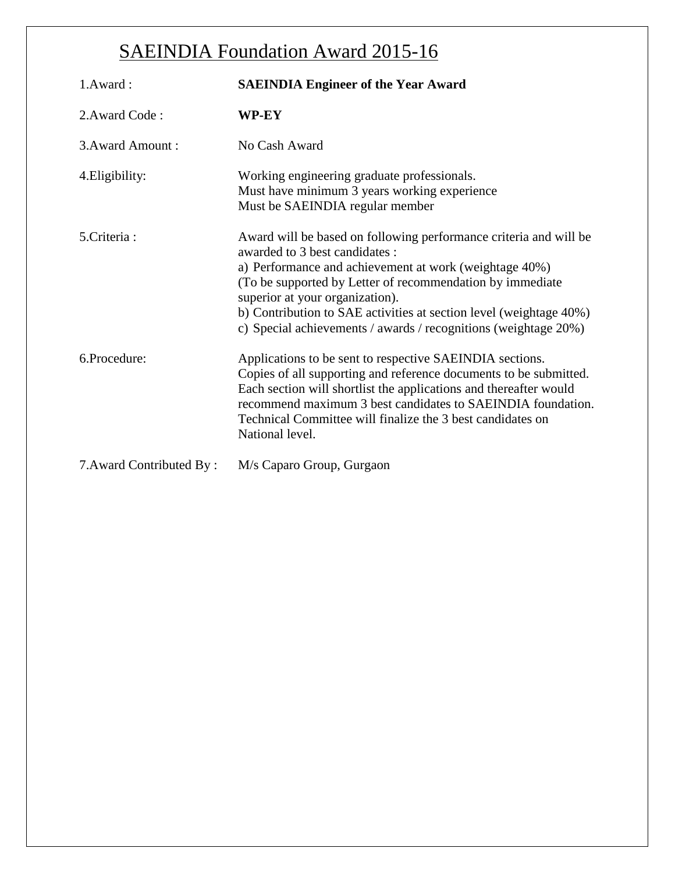| 1.Award:                 | <b>SAEINDIA Engineer of the Year Award</b>                                                                                                                                                                                                                                                                                                                                                              |
|--------------------------|---------------------------------------------------------------------------------------------------------------------------------------------------------------------------------------------------------------------------------------------------------------------------------------------------------------------------------------------------------------------------------------------------------|
| 2. Award Code:           | WP-EY                                                                                                                                                                                                                                                                                                                                                                                                   |
| 3. Award Amount:         | No Cash Award                                                                                                                                                                                                                                                                                                                                                                                           |
| 4. Eligibility:          | Working engineering graduate professionals.<br>Must have minimum 3 years working experience<br>Must be SAEINDIA regular member                                                                                                                                                                                                                                                                          |
| 5. Criteria:             | Award will be based on following performance criteria and will be<br>awarded to 3 best candidates :<br>a) Performance and achievement at work (weightage 40%)<br>(To be supported by Letter of recommendation by immediate)<br>superior at your organization).<br>b) Contribution to SAE activities at section level (weightage 40%)<br>c) Special achievements / awards / recognitions (weightage 20%) |
| 6.Procedure:             | Applications to be sent to respective SAEINDIA sections.<br>Copies of all supporting and reference documents to be submitted.<br>Each section will shortlist the applications and thereafter would<br>recommend maximum 3 best candidates to SAEINDIA foundation.<br>Technical Committee will finalize the 3 best candidates on<br>National level.                                                      |
| 7. Award Contributed By: | M/s Caparo Group, Gurgaon                                                                                                                                                                                                                                                                                                                                                                               |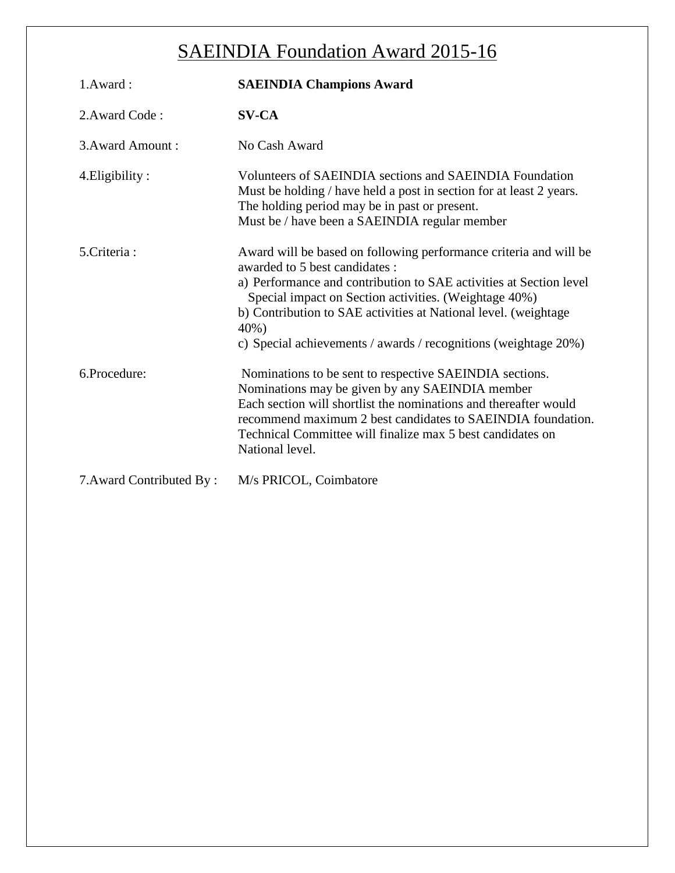| 1.Award:                 | <b>SAEINDIA Champions Award</b>                                                                                                                                                                                                                                                                                                                                                  |
|--------------------------|----------------------------------------------------------------------------------------------------------------------------------------------------------------------------------------------------------------------------------------------------------------------------------------------------------------------------------------------------------------------------------|
| 2. Award Code:           | <b>SV-CA</b>                                                                                                                                                                                                                                                                                                                                                                     |
| 3. Award Amount:         | No Cash Award                                                                                                                                                                                                                                                                                                                                                                    |
| 4. Eligibility:          | Volunteers of SAEINDIA sections and SAEINDIA Foundation<br>Must be holding / have held a post in section for at least 2 years.<br>The holding period may be in past or present.<br>Must be / have been a SAEINDIA regular member                                                                                                                                                 |
| 5. Criteria:             | Award will be based on following performance criteria and will be<br>awarded to 5 best candidates :<br>a) Performance and contribution to SAE activities at Section level<br>Special impact on Section activities. (Weightage 40%)<br>b) Contribution to SAE activities at National level. (weightage<br>40%)<br>c) Special achievements / awards / recognitions (weightage 20%) |
| 6.Procedure:             | Nominations to be sent to respective SAEINDIA sections.<br>Nominations may be given by any SAEINDIA member<br>Each section will shortlist the nominations and thereafter would<br>recommend maximum 2 best candidates to SAEINDIA foundation.<br>Technical Committee will finalize max 5 best candidates on<br>National level.                                                   |
| 7. Award Contributed By: | M/s PRICOL, Coimbatore                                                                                                                                                                                                                                                                                                                                                           |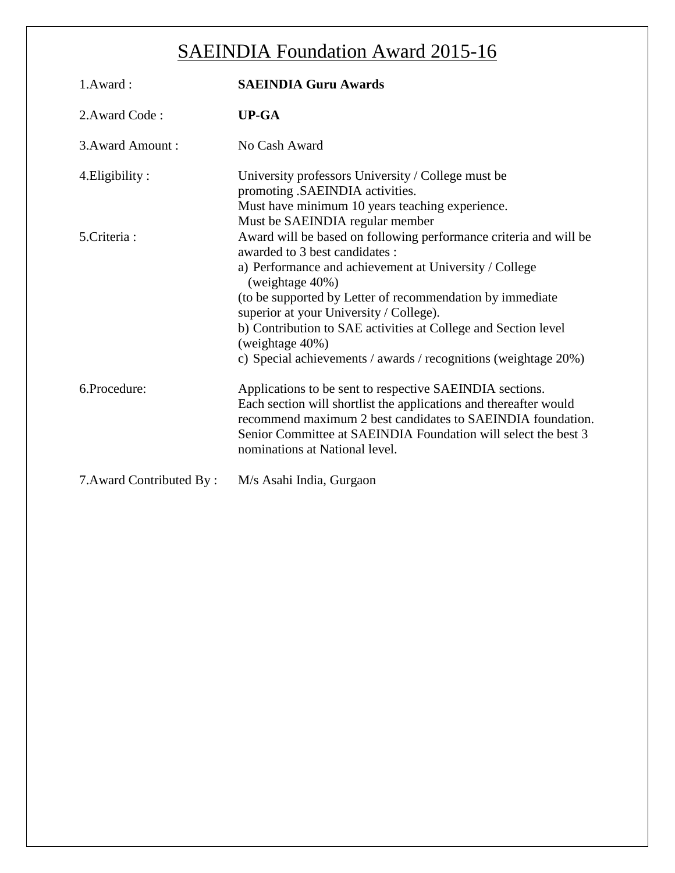| 1.Award:                 | <b>SAEINDIA Guru Awards</b>                                                                                                                                                                                                                                                                      |
|--------------------------|--------------------------------------------------------------------------------------------------------------------------------------------------------------------------------------------------------------------------------------------------------------------------------------------------|
| 2. Award Code:           | $UP-GA$                                                                                                                                                                                                                                                                                          |
| 3. Award Amount:         | No Cash Award                                                                                                                                                                                                                                                                                    |
| 4. Eligibility:          | University professors University / College must be<br>promoting .SAEINDIA activities.<br>Must have minimum 10 years teaching experience.<br>Must be SAEINDIA regular member                                                                                                                      |
| 5. Criteria:             | Award will be based on following performance criteria and will be<br>awarded to 3 best candidates :<br>a) Performance and achievement at University / College<br>(weightage 40%)                                                                                                                 |
|                          | (to be supported by Letter of recommendation by immediate<br>superior at your University / College).                                                                                                                                                                                             |
|                          | b) Contribution to SAE activities at College and Section level<br>(weightage 40%)<br>c) Special achievements / awards / recognitions (weightage 20%)                                                                                                                                             |
| 6.Procedure:             | Applications to be sent to respective SAEINDIA sections.<br>Each section will shortlist the applications and thereafter would<br>recommend maximum 2 best candidates to SAEINDIA foundation.<br>Senior Committee at SAEINDIA Foundation will select the best 3<br>nominations at National level. |
| 7. Award Contributed By: | M/s Asahi India, Gurgaon                                                                                                                                                                                                                                                                         |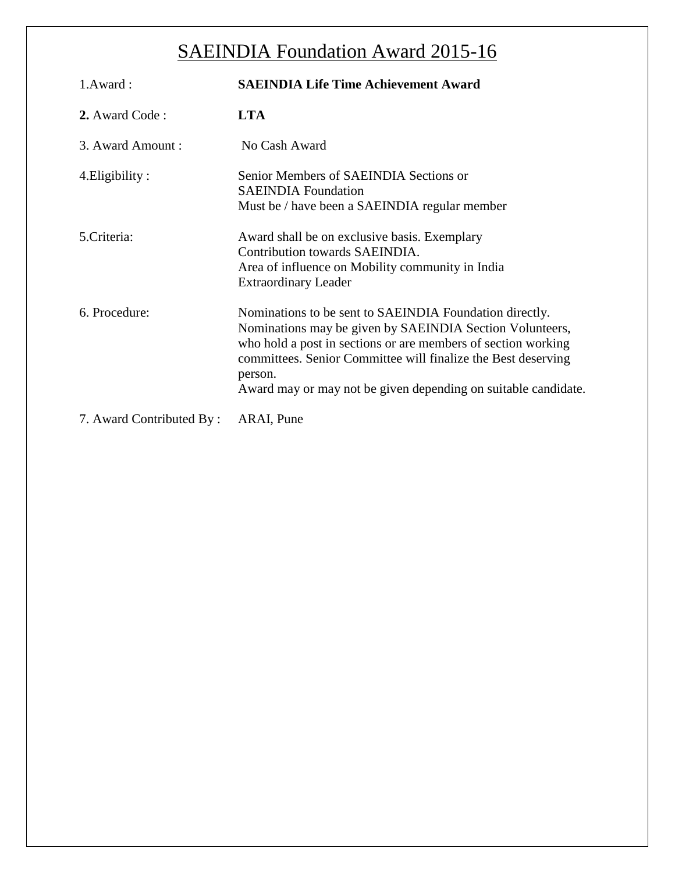| 1.Award:                 | <b>SAEINDIA Life Time Achievement Award</b>                                                                                                                                                                                                                                                                                        |
|--------------------------|------------------------------------------------------------------------------------------------------------------------------------------------------------------------------------------------------------------------------------------------------------------------------------------------------------------------------------|
| 2. Award Code:           | <b>LTA</b>                                                                                                                                                                                                                                                                                                                         |
| 3. Award Amount:         | No Cash Award                                                                                                                                                                                                                                                                                                                      |
| 4. Eligibility:          | Senior Members of SAEINDIA Sections or<br><b>SAEINDIA</b> Foundation<br>Must be / have been a SAEINDIA regular member                                                                                                                                                                                                              |
| 5. Criteria:             | Award shall be on exclusive basis. Exemplary<br>Contribution towards SAEINDIA.<br>Area of influence on Mobility community in India<br><b>Extraordinary Leader</b>                                                                                                                                                                  |
| 6. Procedure:            | Nominations to be sent to SAEINDIA Foundation directly.<br>Nominations may be given by SAEINDIA Section Volunteers,<br>who hold a post in sections or are members of section working<br>committees. Senior Committee will finalize the Best deserving<br>person.<br>Award may or may not be given depending on suitable candidate. |
| 7. Award Contributed By: | ARAI, Pune                                                                                                                                                                                                                                                                                                                         |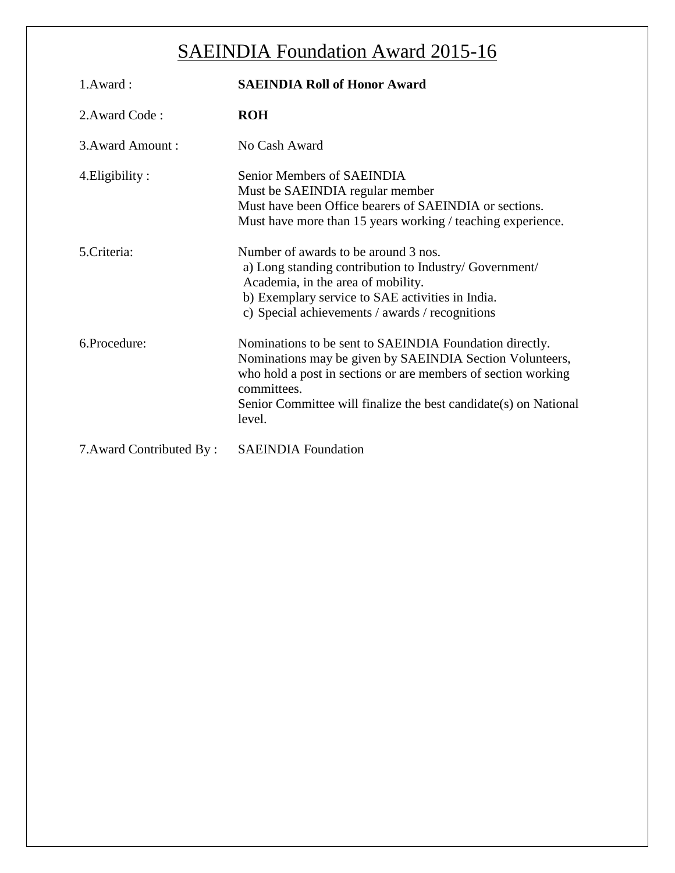| 1.Award:                 | <b>SAEINDIA Roll of Honor Award</b>                                                                                                                                                                                                                                               |
|--------------------------|-----------------------------------------------------------------------------------------------------------------------------------------------------------------------------------------------------------------------------------------------------------------------------------|
| 2. Award Code:           | <b>ROH</b>                                                                                                                                                                                                                                                                        |
| 3. Award Amount:         | No Cash Award                                                                                                                                                                                                                                                                     |
| 4. Eligibility:          | Senior Members of SAEINDIA<br>Must be SAEINDIA regular member<br>Must have been Office bearers of SAEINDIA or sections.<br>Must have more than 15 years working / teaching experience.                                                                                            |
| 5.Criteria:              | Number of awards to be around 3 nos.<br>a) Long standing contribution to Industry/ Government/<br>Academia, in the area of mobility.<br>b) Exemplary service to SAE activities in India.<br>c) Special achievements / awards / recognitions                                       |
| 6.Procedure:             | Nominations to be sent to SAEINDIA Foundation directly.<br>Nominations may be given by SAEINDIA Section Volunteers,<br>who hold a post in sections or are members of section working<br>committees.<br>Senior Committee will finalize the best candidate(s) on National<br>level. |
| 7. Award Contributed By: | <b>SAEINDIA</b> Foundation                                                                                                                                                                                                                                                        |